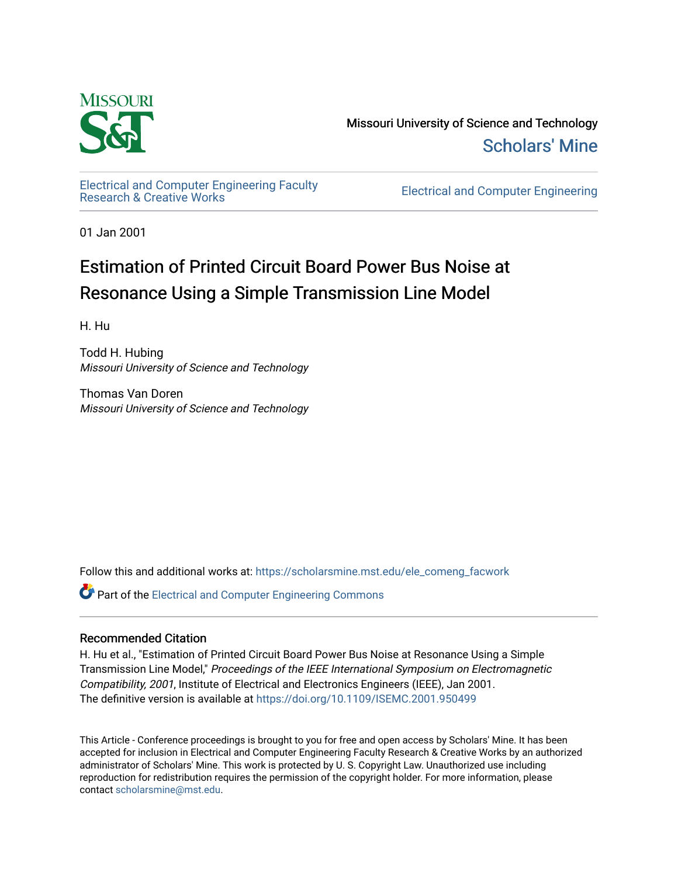

Missouri University of Science and Technology [Scholars' Mine](https://scholarsmine.mst.edu/) 

[Electrical and Computer Engineering Faculty](https://scholarsmine.mst.edu/ele_comeng_facwork)<br>Research & Creative Works

**Electrical and Computer Engineering** 

01 Jan 2001

# Estimation of Printed Circuit Board Power Bus Noise at Resonance Using a Simple Transmission Line Model

H. Hu

Todd H. Hubing Missouri University of Science and Technology

Thomas Van Doren Missouri University of Science and Technology

Follow this and additional works at: [https://scholarsmine.mst.edu/ele\\_comeng\\_facwork](https://scholarsmine.mst.edu/ele_comeng_facwork?utm_source=scholarsmine.mst.edu%2Fele_comeng_facwork%2F1028&utm_medium=PDF&utm_campaign=PDFCoverPages)

**C** Part of the Electrical and Computer Engineering Commons

### Recommended Citation

H. Hu et al., "Estimation of Printed Circuit Board Power Bus Noise at Resonance Using a Simple Transmission Line Model," Proceedings of the IEEE International Symposium on Electromagnetic Compatibility, 2001, Institute of Electrical and Electronics Engineers (IEEE), Jan 2001. The definitive version is available at <https://doi.org/10.1109/ISEMC.2001.950499>

This Article - Conference proceedings is brought to you for free and open access by Scholars' Mine. It has been accepted for inclusion in Electrical and Computer Engineering Faculty Research & Creative Works by an authorized administrator of Scholars' Mine. This work is protected by U. S. Copyright Law. Unauthorized use including reproduction for redistribution requires the permission of the copyright holder. For more information, please contact [scholarsmine@mst.edu](mailto:scholarsmine@mst.edu).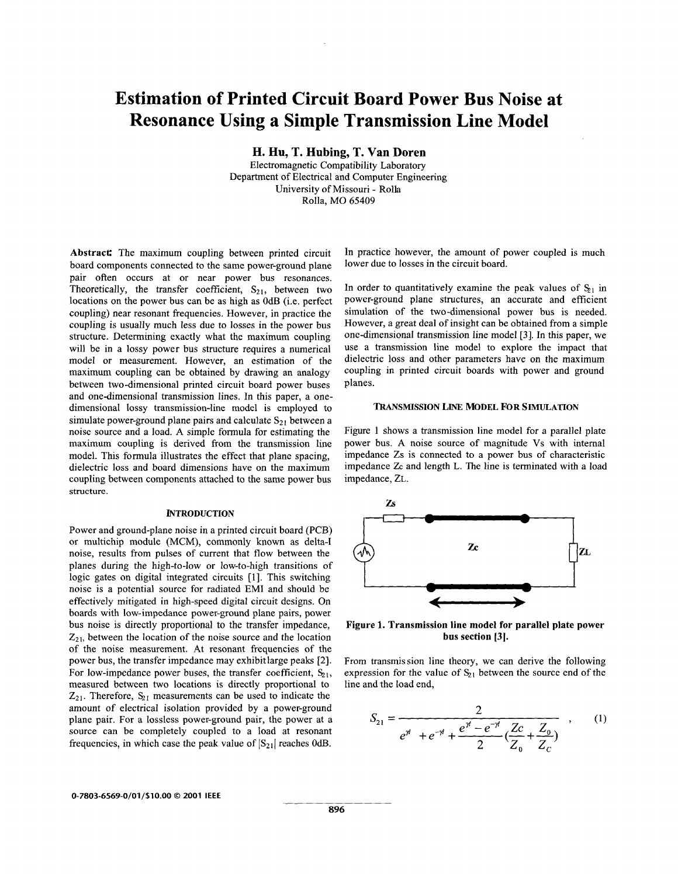## **Estimation of Printed Circuit Board Power Bus Noise at Resonance Using a Simple Transmission Line Model**

**H. Hu, T. Hubing, T. Van Doren** 

Electromagnetic Compatibility Laboratory Department of Electrical and Computer Engineering University of Missouri - Rolla Rolla, MO 65409

**Abstract:** The maximum coupling between printed circuit board components connected to the same power-ground plane pair often occurs at or near power bus resonances. Theoretically, the transfer coefficient,  $S_{21}$ , between two locations on the power bus can be as high as OdB (i.e. perfect coupling) near resonant frequencies. However, in practice the coupling is usually much less due to losses in the power bus structure. Determining exactly what the maximum coupling will be in a lossy power bus structure requires a numerical model or measurement. However, an estimation of the maximum coupling can be obtained by drawing an analogy between two-dimensional printed circuit board power buses and one-dimensional transmission lines. In this paper, a onedimensional lossy transmission-line model is employed to simulate power-ground plane pairs and calculate  $S_{21}$  between a noise source and a load. **A** simple formula for estimating the maximum coupling is derived from the transmission line model. This formula illustrates the effect that plane spacing, dielectric loss and board dimensions have on the maximum coupling between components attached to the same power bus **structure.** 

#### **INTRODUCTION**

Power and ground-plane noise in a printed circuit board (PCB) or multichip module (MCM), commonly known as delta-I noise, results from pulses of current that flow between the planes during the high-to-low or low-to-high transitions of logic gates on digital integrated circuits [1]. This switching noise is a potential source for radiated EM1 and should be effectively mitigated in high-speed digital circuit designs. On boards with low-impedance power-ground plane pairs, power bus noise is directly proportional to the transfer impedance,  $Z_{21}$ , between the location of the noise source and the location of the noise measurement. At resonant frequencies of the power bus, the transfer impedance may exhibitlarge peaks *[2].*  For low-impedance power buses, the transfer coefficient,  $S_{21}$ , measured between two locations is directly proportional to  $Z_{21}$ . Therefore,  $S_{21}$  measurements can be used to indicate the amount of electrical isolation provided by a power-ground plane pair. For a lossless power-ground pair, the power at a source can be completely coupled to a load at resonant frequencies, in which case the peak value of  $|S_{21}|$  reaches 0dB.

In practice however, the amount of power coupled is much lower due to losses in the circuit board.

In order to quantitatively examine the peak values of  $S_{21}$  in power-ground plane structures, an accurate and efficient simulation of the two -dimensional power bus is needed. However, a great deal of insight can be obtained from a simple one-dimensional transmission line model **[3].** In this paper, we use a transmission line model to explore the impact that dielectric loss and other parameters have on the maximum coupling in printed circuit boards with power and ground planes.

#### **TRANSMISSION** LlNE **MODEL FOR SIMULATION**

Figure 1 shows a transmission line model for a parallel plate power bus. A noise source of magnitude Vs with internal impedance **Zs** is connected to a power bus of characteristic impedance **Zc** and length L. The line is terminated with a load impedance, ZL.



**Figure 1. Transmission line model for parallel plate power bus section (31.** 

From transmission line theory, we can derive the following expression for the value of  $S_{21}$  between the source end of the line and the load end,

$$
S_{21} = \frac{2}{e^{\gamma t} + e^{-\gamma t} + \frac{e^{\gamma t} - e^{-\gamma t}}{2} \left(\frac{Zc}{Z_0} + \frac{Z_0}{Z_C}\right)} \tag{1}
$$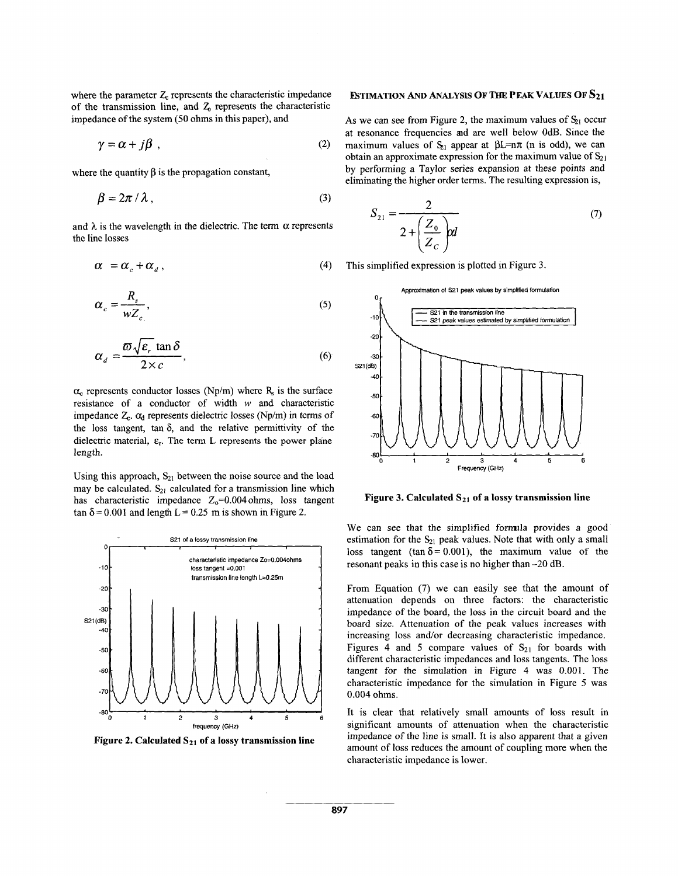<span id="page-2-0"></span>where the parameter  $Z_c$  represents the characteristic impedance of the transmission line, and  $Z_0$  represents the characteristic impedance of the system (50 ohms in this paper), and

$$
\gamma = \alpha + i\beta \tag{2}
$$

where the quantity  $\beta$  is the propagation constant,

$$
\beta = 2\pi / \lambda , \qquad (3)
$$

and  $\lambda$  is the wavelength in the dielectric. The term  $\alpha$  represents the line losses

$$
\alpha = \alpha_c + \alpha_d \,, \tag{4}
$$

$$
\alpha_c = \frac{R_s}{wZ_c},\tag{5}
$$

$$
\alpha_d = \frac{\varpi \sqrt{\varepsilon_r} \tan \delta}{2 \times c},
$$
\n(6)

 $\alpha_c$  represents conductor losses (Np/m) where  $R_s$  is the surface resistance of a conductor of width w and characteristic impedance  $Z_c$ .  $\alpha_d$  represents dielectric losses (Np/m) in terms of the loss tangent, tan  $\delta$ , and the relative permittivity of the dielectric material,  $\varepsilon_r$ . The term L represents the power plane length.

Using this approach,  $S_{21}$  between the noise source and the load may be calculated.  $S_{21}$  calculated for a transmission line which has characteristic impedance  $Z_0$ =0.004 ohms, loss tangent  $\tan \delta = 0.001$  and length  $L = 0.25$  m is shown in Figure 2.



Figure 2. Calculated S<sub>21</sub> of a lossy transmission line

#### **ESTIMATION AND ANALYSIS OF THE PEAK VALUES OF S21**

As we can see from Figure 2, the maximum values of  $S_{21}$  occur at resonance frequencies ad are well below OdB. Since the maximum values of  $S_{1}$  appear at  $\beta L = n\pi$  (n is odd), we can obtain an approximate expression for the maximum value of  $S_{21}$ by performing a Taylor series expansion at these points and eliminating the higher order terms. The resulting expression is,

$$
S_{21} = \frac{2}{2 + \left(\frac{Z_0}{Z_C}\right)}dI
$$
 (7)

This simplified expression is plotted in Figure **3.** 



Figure 3. Calculated S<sub>21</sub> of a lossy transmission line

We can see that the simplified formula provides a good estimation for the  $S_{21}$  peak values. Note that with only a small loss tangent (tan  $\delta$  = 0.001), the maximum value of the resonant peaks in this case is no higher than -20 dB.

From Equation (7) we can easily see that the amount of attenuation depends on three factors: the characteristic impedance of the board, the loss in the circuit board and the board size. Attenuation of the peak values increases with increasing loss and/or decreasing characteristic impedance. Figures 4 and 5 compare values of  $S_{21}$  for boards with different characteristic impedances and loss tangents. The loss tangent for the simulation in Figure 4 was 0.001. The characteristic impedance for the simulation in [Figure 5](#page-3-0) was 0.004 ohms.

It is clear that relatively small amounts of loss result in significant amounts of attenuation when the characteristic impedance of the line is small. It is also apparent that a given amount of loss reduces the amount of coupling more when the characteristic impedance is lower.